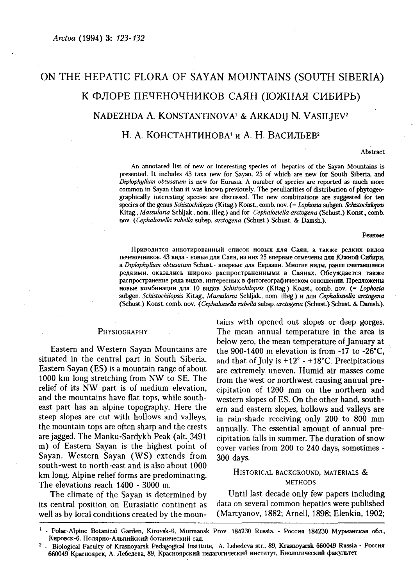# ON THE HEPATIC FLORA OF SAYAN MOUNTAINS (SOUTH SIBERIA) К ФЛОРЕ ПЕЧЕНОЧНИКОВ САЯН (ЮЖНАЯ СИБИРЬ) NADEZHDA A. KONSTANTINOVA<sup>1</sup> & ARKADIJ N. VASILJEV<sup>2</sup> Н. А. КОНСТАНТИНОВА<sup>1</sup> и А. Н. ВАСИЛЬЕВ<sup>2</sup>

Abstract

An annotated list of new or interesting species of hepatics of the Sayan Mountains is presented. It includes 43 taxa new for Sayan, 25 of which are new for South Siberia, and *Diphphyllum obtusatum* is new for Eurasia A number of species are reported as much more common in Sayan than it was known previously. The peculiarities of distribution of phytogeographically interesting species are discussed. The new combinations are suggested for ten species of the genus *Schistochilopsis* (Kitag.) Konst., comb. nov. (= *Lophozia* subgen. *Schistochilopsis*  Kitag., *Massularia* Schljak., nom. illeg.) and for *Cephaloziella arctogena* (Schust.) Konst., comb, nov. *{Cephaloziella rubella* subsp. *arctogena* (Schust.) Schust. & Damsh.).

Резюме

Приводится аннотированный список новых для Саян, а также редких видов печеночников. 43 вида - новые для Саян, из них 25 впервые отмечены для Южной Сибири, a Diplophyllum obtusatum Schust.- впервые для Евразии. Многие виды, ранее считавшиеся редкими, оказались широко распространенными в Саянах. Обсуждается также распространение ряда видов, интересных в фитогеографическом отношении. Предложены новы комбинаци дл 10 видо *Schistochilopsis* (Kitag.) Konst., comb. nov. (= *Lophozia*  subgen. *Schistochilopsis* Kitag., *Massularia* Schljak., nom. illeg.) дл *Cephaloziella arctogena*  (Schust.) Konst. comb. nov. *(Cephaloziella rubella* subsp. *arctogena* (Schust.) Schust. & Damsh.).

situated in the central part in South Siberia. and that of July is +12° - +18°C. Precipitations<br>Eastern Sayan (ES) is a mountain range of about are extremely uneven. Humid air masses come Eastern Sayan (ES) is a mountain range of about are extremely uneven. Humid air masses come 1000 km long stretching from NW to SE. The from the west or northwest causing annual pre-<br>relief of its NW part is of medium elevation, cinitation of 1200 mm on the northern and relief of its NW part is of medium elevation, cipitation of 1200 mm on the northern and<br>and the mountains have flat tops, while south- western slopes of ES. On the other hand southand the mountains have flat tops, while south-<br>east part has an alpine topography. Here the sern and eastern slopes hollows and valleys are east part has an alpine topography. Here the ern and eastern slopes, hollows and valleys are<br>steep slopes are cut with hollows and valleys, in rain-shade receiving only 200 to 800 mm the mountain tops are often sharp and the crests annually. The essential amount of annual preare jagged. The Manku-Sardykh Peak (alt. 3491 cipitation falls in summer. The duration of snow m) of Eastern Sayan is the highest point of  $\overline{\text{cover}}$  varies from 200 to 240 days, sometimes -Sayan. Western Sayan (WS) extends from 300 days, south-west to north-east and is also about 1000 km long. Alpine relief forms are predominating. HISTORICAL BACKGROUND, MATERIALS &<br>The elevations reach 1400, 2000 m METHODS The elevations reach  $1400 - 3000$  m.

well as by local conditions created by the moun-

tains with opened out slopes or deep gorges. PHYSIOGRAPHY The mean annual temperature in the area is below zero, the mean temperature of January at Eastern and Western Sayan Mountains are the 900-1400 m elevation is from -17 to -26°C, situated in the central part in South Siberia. and that of July is +12° - +18°C. Precipitations in rain-shade receiving only 200 to 800 mm

The climate of the Sayan is determined by Until last decade only few papers including its central position on Eurasiatic continent as data on several common hepatics were published

<sup>&</sup>lt;sup>1</sup> - Polar-Alpine Botanical Garden, Kirovsk-6, Murmansk Prov 184230 Russia. - Россия 184230 Мурманская обл., Кировск-6, Полярно-Альпийский ботанический сад.

<sup>2</sup> - Biological Faculty of Krasnoyarsk Pedagogical Institute, A. Lebedeva str., 89, Krasnoyarsk 660049 Russia - Россия 660049 Красноярск, А. Лебедева, 89, Красноярский педагогический институт, Биологический факультет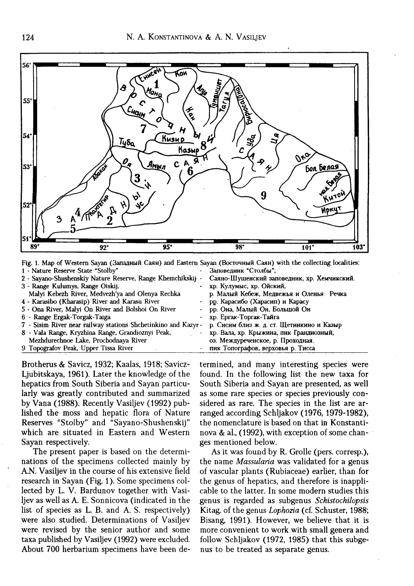

Fig. 1. Map of Western Sayan (Западный Саян) and Eastern Sayan (Восточный Саян) with the collecting localities: 1 - Nature Reserve State "Stolby" Заповедник "Столбы";

2 - Sayano-Shushenskiy Nature Reserve, Range Khemchikskij 3 - Range Kulumys, Range Oiskij, Malyi Kebezh River, Medvezh'ya and Olenya Rechka 4 - Karasibo (Kharasip) River and Karasu River 5 - Ona River, Malyi On River and Bolshoi On River 6 - Range Ergak-Torgak-Taiga 7 - Sisim River near railway stations Shchetinkino and Kazyr 8 - Vala Range, Kryzhina Range, Grandioznyi Peak, Mezhdurechnoe Lake, Prochodnaya River 9 Topografov Peak, Upper Tissa River Саяно-Шушенский заповедник, хр. Хемчикский. - хр. Кулумыс, хр. Ойский, р. Малый Кебеж, Медвежья и Оленья Речка рр. Карасибо (Харасип) и Карасу рр. Она, Малый Он, Большой Он - хр. Ергак-Торгак-Тайга р. Сисим близ ж. д. ст. Щетинкино и Казыр хр. Вала, хр. Крыжина, пик Грандиозный, оз. Междуреченское, р. Проходная. пик Топографов, верховья р. Тисса

Brotherus & Savicz, 1932; Kaalas, 1918; Savicz-Ljubitskaya, 1961). Later the knowledge of the hepatics from South Siberia and Sayan particularly was greatly contributed and summarized by Vana (1988). Recently Vasiljev (1992) published the moss and hepatic flora of Nature Reserves "Stolby" and "Sayano-Shushenskij" which are situated in Eastern and Western Sayan respectively.

The present paper is based on the determinations of the specimens collected mainly by A.N. Vasiljev in the course of his extensive field research in Sayan (Fig. 1). Some specimens collected by L. V. Bardunov together with Vasiljev as well as A. E. Sonnicova (indicated in the list of species as L. B. and A. S. respectively) were also studied. Determinations of Vasiljev were revised by the senior author and some taxa published by Vasiljev (1992) were excluded. About 700 herbarium specimens have been determined, and many interesting species were found. In the following list the new taxa for South Siberia and Sayan are presented, as well as some rare species or species previously considered as rare. The species in the list are arranged according Schljakov (1976, 1979-1982), the nomenclature is based on that in Konstantinova & al. (1992), with exception of some changes mentioned below.

As it was found by R. Grolle (pers. corresp.), the name *Massularia* was validated for a genus of vascular plants (Rubiaceae) earlier, than for the genus of hepatics, and therefore is inapplicable to the latter. In some modern studies this genus is regarded as subgenus *Schistockilopsis*  Kitag. of the genus *Lophozia* (cf. Schuster, 1988; Bisang, 1991). However, we believe that it is more convenient to work with small genera and follow Schljakov (1972, 1985) that this subgenus to be treated as separate genus.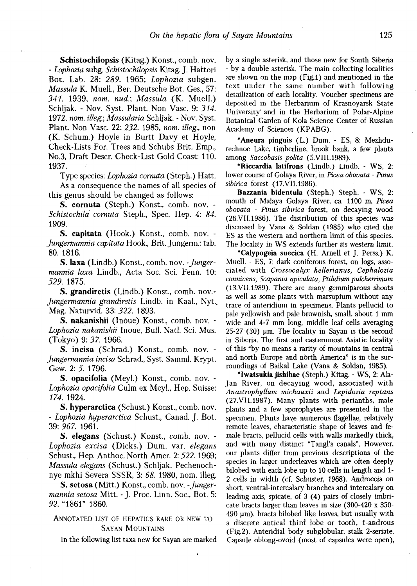**Schistochilopsis** (Kitag.) Konst., comb. nov. - *Lophozia* subg. *Schistochilopsis* Kitag. J. Hattori Bot. Lab. 28: *289.* 1965; *Lophozia* subgen. *Massula* K. Muell., Ber. Deutsche Bot. Ges., 57: *341.* 1939, *пот. nud:, Massula* (K. Muell.) Schljak. - Nov. Syst. Plant. Non Vase. 9: *314.*  1972, *пот. illeg:, Massularia* Schljak. - Nov. Syst. Plant. Non Vase. 22: *232.* 1985, *пот. illeg.,* non (K. Schum.) Hoyle in Burtt Davy et Hoyle, Check-Lists For. Trees and Schubs Brit. Emp., No.3, Draft Descr. Check-List Gold Coast: 110. 1937.

Type species: *Lophozia cornuta* (Steph.) Hatt.

As a consequence the names of all species of this genus should be changed as follows:

**S. cornuta** (Steph.) Konst., comb. nov. - *Schistochila cornuta* Steph., Spec. Hep. 4: *84.*  1909.

**S. capitata** (Hook.) Konst., comb. nov. - *Jungermannia capitata* Hook., Brit. Jungerm.: tab. 80. 1816.

**S. laxa** (Lindb.) Konst., comb. nov. *-Jungermannia laxa* Lindb., Acta Soc. Sci. Fenn. 10: *529.* 1875.

**S. grandiretis** (Lindb.) Konst., comb, nov.- *Jungermannia grandiretis* Lindb. in Kaal., Nyt.. Mag. Naturvid. 33: *322.* 1893.

**S. nakanishii** (Inoue) Konst., comb. nov. - *Lophozia nakanishii* Inoue, Bull. Natl. Sci. Mus. (Tokyo) 9: *37.* 1966.

**S. incisa** (Schrad.) Konst., comb. nov. - *Jungernannia incisa* Schrad., Syst. Samml. Krypt. Gew. 2: 5. 1796.

**S. opacifolia** (Meyl.) Konst., comb. nov. - *Lophozia opacifolia* Culm ex Meyl., Hep. Suisse: *174.* 1924.

**S. hyperarctica** (Schust.) Konst., comb. nov. - *Lophozia hyperarctica* Schust., Canad. J. Bot. 39: *967.* 1961.

**S. elegans** (Schust.) Konst., comb. nov. - *Lophozia excisa* (Dicks.) Dum. var. *elegans*  Schust., Hep. Anthoc. North Amer. 2: *522.* 1969; *Massula elegans* (Schust.) Schljak. Pechenochnye mkhi Severa SSSR, 3: *68.* 1980, nom. illeg.

S. **setosa** (Mitt.) Konst., comb. nov. *-Jungermannia setosa* Mitt. - J. Proc. Linn. Soc, Bot. 5: *92.* "1861" 1860.

# ANNOTATED LIST OF HEPATICS RARE OR NEW TO SAYAN MOUNTAINS

In the following list taxa new for Sayan are marked

by a single asterisk, and those new for South Siberia - by a double asterisk. The main collecting localities are shown on the map (Fig.l) and mentioned in the text under the same number with following detailization of each locality. Voucher specimens are deposited in the Herbarium of Krasnoyarsk State University" and in the Herbarium of Polar-Alpine Botanical Garden of Kola Science Center of Russian Academy of Sciences (KPABG).

**\*Aneura pinguis** (L.) Dum. - ES, 8: Mezhdurechnoe Lake, timberline, brook bank, a few plants among *Saccobasis polita* (5.VIII.1989).

**\*Riccardia latifrons** (Lindb.) Lindb. - WS, 2: lower course of Golaya River, in *Picea obovata - Pinus sibirica* forest (17.VII.1986).

**Bazzania bidentula** (Steph.) Steph. - WS, 2: mouth of Malaya Golaya River, ca. 1100 m, *Picea obovata - Pinus sibirica* forest, on decaying wood (26VII.1986). The distribution of this species was discussed by Vana & Soldan (1985) who cited the ES as the western and northern limit of this species. The locality in WS extends further its western limit.

**\*Calypogeia suecica** (H. Arnell et J. Perss.) K. Muell. - ES, 7: dark coniferous forest, on logs, associated with *Crossocalyx hellerianus, Cephalozia connivens, Scapania apiculata, Ptilidium pulcherrimum*  (13.VII.1989). There are many gemmiparous shoots as well as some plants with marsupium without any trace of anteridium in specimens. Plants pellucid to pale yellowish and pale brownish, small, about 1 mm wide and 4-7 mm long, middle leaf cells averaging 25-27 (30) um. The locality in Sayan is the second in Siberia. The first and easternmost Asiatic locality of this "by no means a rarity of mountains in central and north Europe and north America" is in the surroundings of Baikal Lake (Vana *&* Soldan, 1985).

**\*Iwatsukia jishibae** (Steph.) Kitag. - WS, 2: Ala-Jan River, on decaying wood, associated with *Anastrophyllum michauxii* and *Lepidozia reptans*  (27.VII.1987). Many plants with perianths, male plants and a few sporophytes are presented in the specimen. Plants have numerous flagellae, relatively remote leaves, characteristic shape of leaves and female bracts, pellucid cells with walls markedly thick, and with many distinct "Tangl's canals". However, our plants differ from previous descriptions of the species in larger underleaves which are often deeply bilobed with each lobe up to 10 cells in length and 1- 2 cells in width (cf. Schuster, 1968). Androecia on short, ventral-intercalary branches and intercalary on leading axis, spicate, of 3 (4) pairs of closely imbricate bracts larger than leaves in size (300-420 x 350- 490 um), bracts bilobed like leaves, but usually with a discrete antical third lobe or tooth, 1-androus (Fig.2). Anteridial body subglobular, stalk 2-seriate. Capsule oblong-ovoid (most of capsules were open),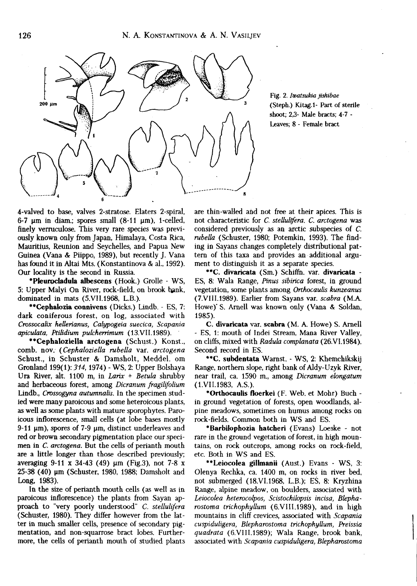

Fig. 2. *Iwatsukia jishibae*  (Steph.) Kitag.l- Part of sterile shoot; 23- Male bracts; 4-7 - Leaves; 8 - Female bract

4-valved to base, valves 2-stratose. Elaters 2-spiral, 6-7  $\mu$ m in diam.; spores small (8-11  $\mu$ m), 1-celled, finely verruculose. This very rare species was previously known only from Japan, Himalaya, Costa Rica, Mauritius, Reunion and Seychelles, and Papua New Guinea (Vana & Piippo, 1989), but recently J. Vana has found it in Altai Mts. (Konstantinova & al. 1992). Our locality is the second in Russia.

**\*Pleurocladula albescens** (Hook.) Grolle - WS, 5: Upper Malyi On River, rock-field, on brook bank, dominated in mats (5.VII.1968, L.B.).

**\*\*Cephalozia connivens** (Dicks.) Lindb. - ES, 7: dark coniferous forest, on log, associated with *Crossocalix hellerianus, Calypogeia suecica, Scapania apiculata, Ptilidium pulcherrimum* (13.VII.1989).

**"Cephaloziella arctogena** (Schust.) Konst., comb. nov. *{Cephaloziella rubella* var. *arctogena*  Schust., in Schuster & Damsholt, Meddel. om Gronland 199(1): *314,* 1974) - WS, 2: Upper Bolshaya Ura River, alt. 1100 m, in *Larix + Betula* shrubby and herbaceous forest, among *Dicranum fragilifolium*  Lindb., *Crossogyna autumnalis.* In the specimen studied were many paroicous and some heteroicous plants, as well as some plants with mature sporophytes. Paroicous inflorescence, small cells (at lobe bases mostly 9-11 um), spores of 7-9 um, distinct underleaves and red or brown secondary pigmentation place our specimen in *C. arctogena.* But the cells of perianth mouth are a little longer than those described previously; averaging 9-11 x 34-43 (49) um (Fig.3), not 7-8 x 25-38 (40) um (Schuster, 1980, 1988; Damsholt and Long, 1983).

In the size of perianth mouth cells (as well as in paroicous inflorescence) the plants from Sayan approach to "very poorly understood" C. stellulifera (Schuster, 1980). They differ however from the latter in much smaller cells, presence of secondary pigmentation, and non-squarrose bract lobes. Furthermore, the cells of perianth mouth of studied plants are thin-walled and not free at their apices. This is not characteristic for *C. stellulifera. C. arctogena* was considered previously as an arctic subspecies of *С rubella* (Schuster, 1980; Potemkin, 1993). The finding in Sayans changes completely distributional pattern of this taxa and provides an additional argument to distinguish it as a separate species.

**\*\*C. divaricate** (Sm.) Schiffn. var. **divaricata** - ES, 8: Wala Range, *Pinus sibirica* forest, in ground vegetation, some plants among *Orthocaulis kunzeanus*  (7.VIII.1989). Earlier from Sayans var. *scabra* (M.A. Howe)" S. Arnell was known only (Vana & Soldan, 1985).

C. **divaricata** var. **scabra** (M. A. Howe) S. Arnell - ES, 1: mouth of Indei Stream, Mana River Valley, on cliffs, mixed with *Radula complanata* (26.VI.1984). Second record in ES.

**\*\*C. subdentata** Warnst. - WS, 2: Khemchikskij Range, northern slope, right bank of Aldy-Uzyk River, near trail, ca. 1590 m., among *Dicranum elongatum*  (l.VII.1983, A.S.).

**\*Orthocaulis floerkei** (F. Web. et Mohr) Buch in ground vegetation of forests, open woodlands, alpine meadows, sometimes on humus among rocks on rock-fields. Common both in WS and ES.

**\*Barbilophozia hatcheri** (Evans) Loeske - not rare in the ground vegetation of forest, in high mountains, on rock outcrops, among rocks on rock-field, etc. Both in WS and ES.

**\*\*Leiocolea gillmanii** (Aust.) Evans - WS, 3: Olenya Rechka, ca. 1400 m, on rocks in river bed, not submerged (18.VI.1968, L.B.); ES, 8: Kryzhina Range, alpine meadow, on boulders, associated with *Leiocolea heterocolpos, Scistochilopsis incisa, Blepharostoma trichophyllum* (6.VIII.1989), and in high mountains in cliff crevices, associated with *Scapania cuspiduligera, Blepharostoma trichophyllum, Preissia quadrata* (6. VIII.1989); Wala Range, brook bank, associated with *Scapania cuspiduligera, Blepharostoma*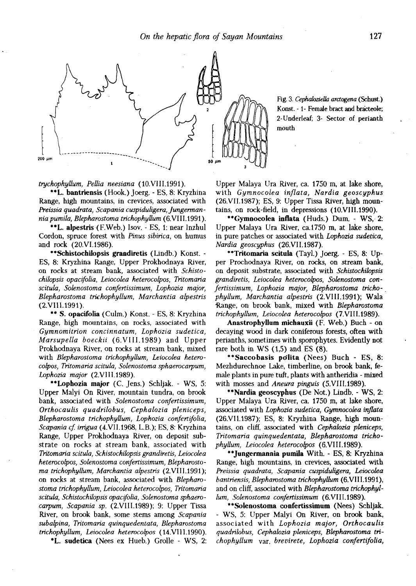

Fig. 3. *CephahzieUa arctogena* (Schust.) Konst. -1- Female bract and bracteole; 2-Underleaf; 3- Sector of perianth mouth

*trychophyttum, Рейха neesiana* (10.VIII.1991).

**"L. bantriensis** (Hook.) Joerg. - ES, 8: Kryzhina Range, high mountains, in crevices, associated with *Preissia quadrata, Scapania cuspiduligera, Jungermanniapumila, Blepharostoma trichophyllum* (6.VIII.1991).

**\*\*L. alpestris** (F.Web.) Isov. - ES, 1: near Inzhul Cordon, spruce forest with *Pinus sibirica,* on humus and rock (20.VI.1986).

**"Schistochilopsis grandiretis** (Lindb.) Konst. - ES, 8: Kryzhina Range, Upper Prokhodnaya River, on rocks at stream bank, associated with *Schistochilopsis opacifolia, Leiocolea heterocolpos, Tritomaria scitula, Solenostoma confertissimum, Lophozia major, Blepharostoma trichophyllum, Marchantia alpestris*  (2.VIII.1991).

\*\* **S. opacifolia** (Culm.) Konst. - ES, 8: Kryzhina Range, high mountains, on rocks, associated with *Gymnomitrion concinnatum, Lophozia sudetica, Marsupella boeckii* (6.VIII.1989) and Upper Prokhodnaya River, on rocks at stream bank, mixed with *Blepharostoma trichophyllum, Leiocolea heterocolpos, Tritomaria scitula, Solenostoma sphaerocarpum, Lophozia major* (2.VIII.1989).

**\*\*Lophozia major** (C. Jens.) Schljak. - WS, 5: Upper Malyi On River, mountain tundra, on brook bank, associated with *Solenostoma confertissimum, Orthocaulis quadrilobus, Cephalozia pleniceps, Blepharostoma trichophyllum, Lophozia confertifolia, Scapania cf. irrigua* (4.VII.1968, L.B.); ES, 8: Kryzhina Range, Upper Prokhodnaya River, on deposit substrate on rocks at stream bank, associated with *Tritomaria scitula, Schistochilopsis grandiretis, Leiocolea heterocolpos, Solenostoma confertissimum, Blepharostoma trichophyllum, Marchantia alpestris* (2.VIII.1991); on rocks at stream bank, associated with *Blepharostoma trichophyllum, Leiocolea heterocolpos, Tritomaria scitula, Schistochilopsis opacifolia, Solenostoma sphaerocarpum, Scapania sp.* (2.VIII.1989); 9: Upper Tissa River, on brook bank, some stems among *Scapania subalpina, Tritomaria quinquedentata, Blepharostoma trichophyllum, Leiocolea heterocolpos* (14.VIII.1990).

**\*L. sudetica** (Nees ex Hueb.) Grolle - WS, 2:

Upper Malaya Ura River, ca. 1750 m, at lake shore, with *Gymnocolea inflata, Nardia geoscyphus*  (26.VII.1987); ES, 9: Upper Tissa River, high mountains, on rock-field, in depressions (10.VIII.1990).

**\*\*Gymnocolea inflata** (Huds.) Dum. - WS, 2: Upper Malaya Ura River, ca.1750 m, at lake shore, in pure patches or associated with *Lophozia sudetica, Nardia geoscyphus* (26.VII.1987).

**"Tritomaria scitula** (Tayl.) Joerg. - ES, 8: Upper Prochodnaya River, on rocks, on stream bank, on deposit substrate, associated with *Schistochilopsis grandiretis, Leiocolea heterocolpos, Solenostoma confertissimum, Lophozia major, Blepharostoma trichophyllum, Marchantia alpestris* (2.VIII.1991); Wala Range, on brook bank, mixed with *Blepharostoma trichophyllum, Leiocolea heterocolpos* (7.VIII.1989).

**Anastrophyllum michauxii** (F. Web.) Buch - on decaying wood in dark coniferous forests, often with perianths, sometimes with sporophytes. Evidently not rare both in WS (1,5) and ES (8).

**\*\*Saccobasis po'lita** (Nees) Buch - ES, 8: Mezhdurechnoe Lake, timberline, on brook bank, female plants in pure tuft, plants with antheridia - mixed with mosses and *Aneura pinguis* (5.VIII.1989).

**\*\*Nardia geoscyphus** (De Not.) Lindb. - WS, 2: Upper Malaya Ura River, ca. 1750 m, at lake shore, associated with *Lophozia sudetica, Gymnocolea inflata*  (26.VII.1987); ES, 8: Kryzhina Range, high mountains, on cliff, associated with *Cephalozia pleniceps, Tritomaria quinquedentata, Blepharostoma trichophyllum, Leiocolea heterocolpos* (6.VIII.1989).

**\*\*Jungermannia pumila** With. - ES, 8: Kryzhina Range, high mountains, in crevices, associated with *Preissia quadrata, Scapania cuspiduligera, Leiocolea bantriensis, Blepharostoma trichophyllum* (6.VIII.1991), and on cliff, associated with *Blepharostoma trichophyllum, Solenostoma confertissimum* (6.VIII.1989).

**\*\*Solenostoma confertissimum** (Nees) Schljak. - WS, 5: Upper Malyi On River, on brook bank, associated with *Lophozia major, Orthocaulis quadrilobus, Cephalozia pleniceps, Blepharostoma trichophyllum* var. *brevirete, Lophozia confertifolia,*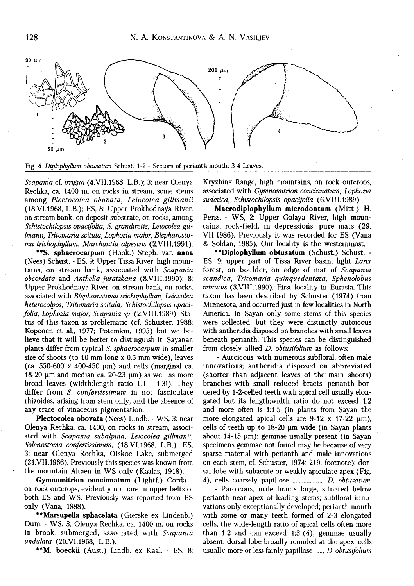

Fig. 4. *Diplophyllum obtusatum* Schust. 1-2 - Sectors of perianth mouth; 3-4 Leaves.

*Scapania* cf. *irrigua* (4.VII.1968, L.B.); 3: near Olenya Rechka, ca. 1400 m, on rocks in stream, some stems among *Plectocolea obovata, Leiocolea gillmanii*  (18.VI.1968, L.B.); ES, 8: Upper Prokhodnaya River, on stream bank, on deposit substrate, on rocks, among *Schistochilopsis opacifolia, S. grandiretis, Leiocolea gillmanii, Tritomaria scitula, Lophozia major, Blepharostoma trichophyUum, Marchantia alpestris* (2.VIII.1991).

**\*\*S. sphaerocarpum** (Hook.) Steph. var. **nana**  (Nees) Schust. - ES, 9: Upper Tissa River, high mountains, on stream bank, associated with *Scapania obcordata* and *Anthelia juratzkana* (8.VIII.1990); 8: Upper Prokhodnaya River, on stream bank, on rocks, associated with *Blepharostoma trichophyUum, Leiocolea heterocolpos, Tritomaria scitula, Schistochilopsis opacifolia, Lophozia major, Scapania sp.* (2.VIII.1989). Status of this taxon is problematic (cf. Schuster, 1988; Koponen et al., 1977; Potemkin, 1993) but we believe that it will be better to distinguish it. Sayanan plants differ from typical *S. sphaerocarpum* in smaller size of shoots (to 10 mm long x 0.6 mm wide), leaves (ca. 550-600 x 400-450 um) and cells (marginal ca. 18-20  $\mu$ m and median ca. 20-23  $\mu$ m) as well as more broad leaves (width:length ratio 1.1 - 1.3!). They differ from *S. confertissimum* in not fasciculate rhizoides, arising from stem only, and the absence of any trace of vinaceous pigmentation.

**Plectocolea obovata** (Nees) Lindb. - WS, 3: near Olenya Rechka, ca. 1400, on rocks in stream, associated with *Scapania subalpina, Leiocolea gillmanii, Solenostoma confertissimum,* (18.VI.1968, L.B.); ES, 3: near Olenya Rechka, Oiskoe Lake, submerged (31.VII.1966). Previously this species was known from the mountain Altaen in WS only (Kaalas, 1918).

**Gymnomitrion concinnatum** (Lightf.) Corda on rock outcrops, evidently not rare in upper belts of both ES and WS. Previously was reported from ES only (Vana, 1988).

**\*\*Marsupella sphacelate** (Gierske ex Lindenb.) Dum. - WS, 3: Olenya Rechka, ca. 1400 m, on rocks in brook, submerged, associated with *Scapania undulata* (20.VI.1968, L.B.).

**\*\*M. boeckii** (Aust.) Lindb. ex Kaal. - ES, 8:

Kryzhina Range, high mountains, on rock outcrops, associated with *Gymnomitrion concinnatum, Lophozia sudetica, Schistochilopsis opacifolia* (6.VIII.1989).

**Macrodiplophyllum microdontum** (Mitt.) H. Perss. - WS, 2: Upper Golaya River, high mountains, rock-field, in depressions, pure mats (29. VII.1986). Previously it was recorded for ES (Vana & Soldan, 1985). Our locality is the westernmost.

**\*\*Diplophyllum obtusatum** (Schust.) Schust. - ES, 9: upper part of Tissa River basin, light *Larix*  forest, on boulder, on edge of mat of *Scapania scandica, Tritomaria quinquedentata, Sphenolobus minutus* (3.VIII.1990). First locality in Eurasia. This taxon has been described by Schuster (1974) from Minnesota, and occurred just in few localities in North America. In Sayan only some stems of this species were collected, but they were distinctly autoicous with antheridia disposed on branches with small leaves beneath perianth. This species can be distinguished from closely allied *D. obtusifolium* as follows:

- Autoicous, with numerous subfloral, often male innovations; antheridia disposed on abbreviated (shorter than adjacent leaves of the main shoots) branches with small reduced bracts, perianth bordered by 1-2-celled teeth with apical cell usually elongated but its length:width ratio do not exceed 1:2 and more often is 1:1.5 (in plants from Sayan the more elongated apical cells are  $9-12 \times 17-22 \text{ }\mu\text{m}$ ), cells of teeth up to 18-20 um wide (in Sayan plants about 14-15 um); gemmae usually present (in Sayan specimens gemmae not found may be because of very sparse material with perianth and male innovations on each stem, cf. Schuster, 1974: 219, footnote); dorsal lobe with subacute or weakly apiculate apex (Fig. 4), cells coarsely papillose *D. obtusatum* 

*-* Paroicous, male bracts large, situated below perianth near apex of leading stems; subfloral innovations only exceptionally developed; perianth mouth with some or many teeth formed of 2-3 elongated cells, the wide-length ratio of apical cells often more than 1:2 and can exceed 1:3 (4); gemmae usually absent; dorsal lobe broadly rounded at the apex, cells usually more or less fainly papillose *..... D. obtusifolium*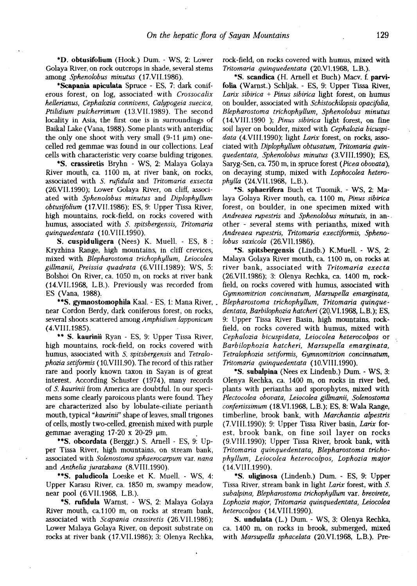**\*D. obtusifolium** (Hook.) Dum. - WS, 2: Lower Golaya River, on rock outcrops in shade, several stems among *Sphenobbus minutus* (17.VII.1986).

**\*Scapania apiculata** Spruce - ES, 7: dark coniferous forest, on log, associated with *Crossocalix hellerianus, Cephabzia connivens, Calypogeia suecica, Ptilidium pulcherrimum* (13.VII.1989). The second locality in Asia, the first one is in surroundings of Baikal Lake (Vana, 1988). Some plants with anteridia; the only one shoot with very small  $(9-11 \mu m)$  onecelled red gemmae was found in our collections. Leaf cells with characteristic very coarse bulding trigones.

**\*S. crassiretis** Bryhn - WS, 2: Malaya Golaya River mouth, ca. 1100 m, at river bank, on rocks, associated with *S. rufidula* and *Tritomaria exsecta*  (26.VII.1990); Lower Golaya River, on cliff, associated with *Sphenobbus minutus* and *Diplophyllum obtusifolium* (17.VII.1986); ES, 9: Upper Tissa River, high mountains, rock-field, on rocks covered with humus, associated with *S. spitsbergensis, Tritomaria quinquedentata* (10.VIII.1990).

**S. cuspiduligera** (Nees) K. Muell. - ES, 8 : Kryzhina Range, high mountains, in cliff crevices, mixed with *Blepharostoma trichophyllum, Leiocolea gillmanii, Preissia quadrata* (6.VIII.1989); WS, 5: Bolshoi On River, ca. 1050 m, on rocks at river bank (14.VII.1968, L.B.). Previously was recorded from ES (Vana, 1988).

**\*\*S. gymnostoraophila** Kaal. - ES, 1: Mana River, . near Cordon Berdy, dark coniferous forest, on rocks, several shoots scattered among *Amphidium lapponicum*  (4.VIII.1985).

\*\* **S. kaurinii** Ryan - ES, 9; Upper Tissa River, high mountains, rock-field, on rocks covered with humus, associated with *S. spitsbergensis* and *Tetralophozia setiformis* (10. VIII. 90). The record of this rather rare and poorly known taxon in Sayan is of great interest. According Schuster (1974), many records of *S. kaurinii* from America are doubtful. In our specimens some clearly paroicous plants were found. They are characterized also by lobulate-ciliate perianth mouth, typical *"kaurinii"* shape of leaves, small trigones of cells, mostly two-celled, greenish mixed with purple gemmae averaging  $17-20 \times 20-29 \mu m$ .

**\*\*S. obcordata** (Berggr.) S. Arnell - ES, 9: Upper Tissa River, high mountains, on stream bank, associated with *Solenostoma sphaerocarpum* var. *nana*  and *Anthelia juratzkana* (8.VIII.1990).

**\*\*S. paludicola** Loeske et K. Muell. - WS, 4: Upper Karasu River, ca. 1850 m, swampy meadow, near pool (6.VII.1968, L.B.).

**\*S. rufidula** Warnst. - WS, 2: Malaya Golaya River mouth, ca.11OO m, on rocks at stream bank, associated with *Scapania crassiretis* (26.VII.1986); Lower Malaya Golaya River, on deposit substrate on rocks at river bank (17.VII.1986); 3: Olenya Rechka, rock-field, on rocks covered with humus, mixed with *Tritomaria quinquedentata* (20.VI.1968, L.B.).

\*S. scandica (H. Arnell et Buch) Macv. f. **parvifolia** (Warnst.) Schljak. - ES, 9: Upper Tissa River, *Larix sibirica + Pinus sibirica* light forest, on humus on boulder, associated with *Schistochibpsis opacifolia, Blepharostoma trichophyllum, Sphenolobus minutus*  (14.VIII.1990 ); *Pinus sibirica* light forest, on fine soil layer on boulder, mixed with *Cephabzia bicuspidata* (4.VIII.1990); light *Larix* forest, on rocks, associated with *Dipbphyllum obtusatum, Tritomaria quinquedentata, Sphenobbus minutus* (3.VIII.1990); ES, Saryg-Sen, ca. 750 m, in spruce forest *(Picea obovatd),*  on decaying stump, mixed with *Lophocolea heterophylla* (24.VII.1968, L.B.).

**\*S. sphaerifera** Buch et Tuomik. - WS, 2: Malaya Golaya River mouth, ca. 1100 m, *Pinus sibirica*  forest, on boulder, in one specimen mixed with *Andreaea rupestris* and *Sphenobbus minutuis,* in another - several stems with perianths, mixed with *Andreaea rupestris, Tritomaria exectiformis, Sphenobbus saxicola* (26.VII.1986).

\*S. **spitsbergensis** (Lindb.) K.Muell. - WS, 2: Malaya Golaya River mouth, ca. 1100 m, on rocks at river bank, associated with *Tritomaria execta*  (26.VII.1986); 3: Olenya Rechka, ca. 1400 m, rockfield, on rocks covered with humus, associated with *Gymnomitrion concinnatum, Marsupella emarginata, Blepharostoma trichophyllum, Tritomaria quinquedentata, Barbibphozia hatcheri* (20.VI.1968, L.B.); ES, 9: Upper Tissa River Basin, high mountains, rockfield, on rocks covered with humus, mixed with *Cephalozia bicuspidata, Leiocolea heterocolpos* or *Barbilophozia hatcheri, Marsupella emarginata, Tetrahphozia setiformis, Gymnomitrion concinnatum, Tritomaria quinquedentata* (10.VIII.1990).

**\*S. subalpina** (Nees ex Lindenb.) Dum. - WS, 3: Olenya Rechka, ca. 1400 m, on rocks in river bed, plants with perianths and sporophytes, mixed with *Plectocolea obovata, Leiocolea gillmanii, Solenostoma confertissimum* (18.VI.1968, L.B.); ES, 8: Wala Range, timberline, brook bank, with *Marchantia alpestris*  (7.VIII.1990); 9: Upper Tissa River basin, *Larix* forest, brook bank, on fine soil layer on rocks (9.VIII.1990); Upper Tissa River, brook bank, with *Tritomaria quinquedentata, Blepharostoma trichophyllum, Leiocolea heterocolpos, Lophozia major*  (14.VIII.1990).

**\*S. uliginosa** (Lindenb.) Dum. - ES, 9: Upper Tissa River, stream bank in light *Larix* forest, with 5. *subalpina, Blepharostoma trichophyllum* var. *brevirete, Lophozia major, Tritomaria quinquedentata, Leiocolea heterocolpos* (14.VIII.1990).

**S. undulata** (L.) Dum. - WS, 3: Olenya Rechka, ca. 1400 m, on rocks in brook, submerged, mixed with *Marsupella sphacelata* (20.VI.1968, L.B.). Pre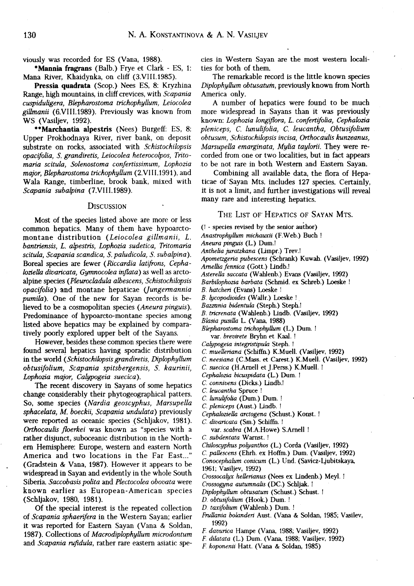viously was recorded for ES (Vana, 1988).

**\*Mannia fragrans** (Balb.) Frye et Clark - ES, 1: Mana River, Khaidynka, on cliff (3.VIII.1985).

**Pressia quadrate** (Scop.) Nees ES, 8: Kryzhina Range, high mountains, in cliff crevices, with *Scapania cuspiduligera, Blepharostoma trichophyllum, Leiocolea gillmanii* (6.VIII.1989). Previously was known from WS (Vasiljev, 1992).

**\*\*Marchantia alpestris** (Nees) Burgeff: ES, 8: Upper Prokhodnaya River, river bank, on deposit substrate on rocks, associated with *Schistochilopsis opacifolia, S. grandiretis, Leiocoka heterocolpos, Tritomaria scitula, Solenostoma confertissimum, Lophozia major, Blepharostoma trichophyllum* (2.VIII.1991), and Wala Range, timberline, brook bank, mixed with *Scapania subalpina* (7.VIII.1989).

### **DISCUSSION**

Most of the species listed above are more or less common hepatics. Many of them have hypoarctomontane distribution *(Leiocolea gillmanii, L. bantriensis, L. alpestris, Lophozia sudetica, Tritomaria scitula, Scapania scandica, S. paludicola, S. subalpina).*  Boreal species are fewer *(Riccardia latifrons, CephalozieUa divaricata, Gymnocoka inflata)* as well as arctoalpine species *(Pkurocladula albescens, Schistochilopsis opacifolia)* and montane hepaticae *(Jungermannia pumila).* One of the new for Sayan records is believed to be a cosmopolitan species *(Aneura pinguis).*  Predominance of hypoarcto-montane species among listed above hepatics may be explained by comparatively poorly explored upper belt of the Sayans.

However, besides these common species there were found several hepatics having sporadic distribution in the world *(Schistochilopsis grandiretis, Diplophyllum obtusifolium, Scapania spitsbergensis, S. kaurinii, Lophozia major, Calypogeia suecica).* 

The recent discovery in Sayans of some hepatics change considerably their phytogeographical patters. So, some species *(Nardia geoscyphus, Marsupella sphacelata, M. boeckii, Scapania undulata)* previously were reported as oceanic species (Schljakov, 1981). *Orthocaulis floerkei* was known as "species with a rather disjunct, suboceanic distribution in the Northern Hemisphere: Europe, western and eastern North America and two locations in the Far East..." (Gradstein & Vana, 1987). However it appears to be widespread in Sayan and evidently in the whole South Siberia. Saccobasis polita and Plectocolea obovata were known earlier as European-American species (Schljakov, 1980, 1981).

Of the special interest is the repeated collection of *Scapania sphaerifera* in the Western Sayan; earlier it was reported for Eastern Sayan (Vana & Soldan, 1987). Collections of *Macrodiplophyllum microdontum*  and *Scapania rufidula,* rather rare eastern asiatic species in Western Sayan are the most western localities for both of them.

The remarkable record is the little known species *Diplophyllum obtusatum,* previously known from North America only.

A number of hepatics were found to be much more widespread in Sayans than it was previously known: *Lophozia longiflora, L. confertifolia, Cephalozia pleniceps, lunulifolia, leucantha, Obtusifolium obtusum, Schistochilopsis incisa, Orthocaulis kunzeanus, Marsupella emarginata, Mylia taylorii.* They were recorded from one or two localities, but in fact appears to be not rare in both Western and Eastern Sayan.

Combining all available data, the flora of Hepaticae of Sayan Mts. includes 127 species. Certainly, it is not a limit, and further investigations will reveal many rare and interesting hepatics.

## THE LIST OF HEPATICS OF SAYAN MTS.

(! - species revised by the senior author)

- *Anastrophyllum michauxii* (F.Web.) Buch !
- *Aneura pinguis* (L.) Dum.!
- *Anthelia juratzkana* (Limpr.) Trev.!

*Apometzgeria pubescens* (Schrank) Kuwah. (Vasiljev, 1992)

- *Amelha fennica* (Gott.) Lindb.!
- *Asterella saccate* (Wahlenb.) Evans (Vasiljev, 1992)
- *Barbilophozia barbata* (Schmid. ex Schreb.) Loeske !
- *B. hatcheri* (Evans) Loeske !
- *B. lycopodioides* (Wallr.) Loeske !
- *Bazzania bidentula* (Steph.) Steph.!
- *B. tricrenata* (Wahlenb.) Lindb. (Vasiljev, 1992)
- *Blasia pusilla* L. (Vana, 1988)

*Blepharostoma trichophyllum* (L.) Dum. ! var. *brevirete* Bryhn et Kaal. !

- *Calypogeia integristipula* Steph. !
- *С. muelleriana* (Schiffn.) K.Muell. (Vasiljev, 1992)
- *С.neesiana* (C.Mass. et Carest.) K.Muell. (Vasiljev, 1992)
- *C.. suecica* (H.Arnell et J.Perss.) K.Muell. !
- *Cephalozia bicuspidata* (L.) Dum. !
- *С.connivens* (Dicks.) Lindb.!
- *С.leucantha* Spruce !
- *C.. lunulifolia* (Dum.) Dum. !
- *С.pleniceps* (Aust.) Lindb. !
- *Cephahziella arctogena* (Schust.) Konst. !
- *C. divaricata* (Sm.) Schiffn. !
	- var. *scabra* (M.A.Howe) S.Arnell !
- *С.subdentata* Warnst. !
- *Chiloscyphus polyanthos* (L.) Corda (Vasiljev, 1992)
- *С.pallescens* (Ehrh. ex Hoffm.) Dum. (Vasiljev, 1992)
- *Conocephahim conicum* (L.) Und. (Savicz-Ljubitskaya, 1961; Vasiljev, 1992)
- *Crossocalyx hellerianus* (Nees ex Lindenb.) Meyl. !
- *Crossogyna autumnalis* (DC.) Schljak. !
- *Diplophyllum obtusatum* (Schust.) Schust. !
- *D. obtusifolium* (Hook.) Dum. !
- *D. taxifohum* (Wahlenb.) Dum. !
- *Frullania bolanderi* Aust. (Vana & Soldan, 1985; Vasilev, 1992)
- *F. davurica* Hampe (Vana, 1988; Vasiljev, 1992)
- *F. dilatata* (L.) Dum. (Vana, 1988; Vasiljev, 1992)
- *F. koponenii* Hatt. (Vana *&* Soldan, 1985)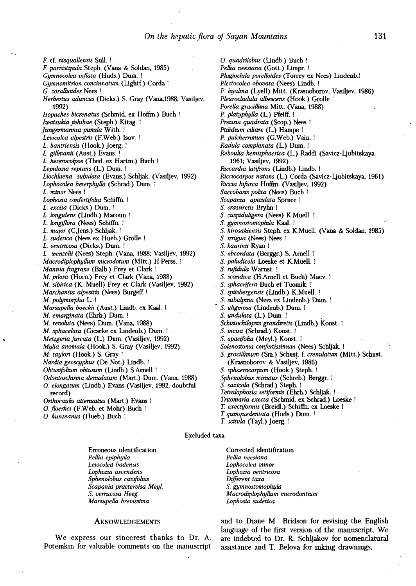*0. quadrilobus* (Lindb.) Buch !

*F.* cf. *nisquallensis* Sull. ! *F. parvistipula* Steph. (Vana & Soldan, 1985) *Gymnocolea inflata* (Huds.) Dum. ! *Gymnomitrion concinnatum* (Lightf.) Corda ! *G.. corallioides* Nees ! *Herbertus aduncus* (Dicks.) S. Gray (Vana,1988; Vasiljev, 1992) *Isopaches bicrenatus* (Schmid. ex Hoffm.) Buch ! *Iwatsukia jishibae* (Steph.) Kitag. ! *Jungermannia pumila* With. ! *Leiocoka alpestris* (F.Web.) Isov. ! *L. bantriensis* (Hook.) Joerg. ! *L. gillmanii* (Aust.) Evans. ! *L. heterocolpos* (Thed. ex Hartm.) Buch ! *Lepidozia reptans* (L.) Dum. I *Liochlaena subulata* (Evans.) Schljak. (Vasiljev, 1992) *Lophocolea heterphytta* (Schrad.) Dum. ! *L. minor* Nees ! *Lophozia confertifoha* Schiffn. ! *L. excisa* (Dicks.) Dum. ! *L. longidens* (Lindb.) Macoun ! *L. longiflora* (Nees) Schiffn. ! *L. major* (CJens.) Schljak. ! *L. sudetica* (Nees ex Hueb.) Grolle ! *L. ventricosa* (Dicks.) Dum. ! *L wenzelii* (Nees) Steph. (Vana, 1988; Vasiljev, 1992) *Macrodiphphyttum miavdotum* (Mitt.) H.Perss. ! *Mannia fragrans* (Balb.) Frey et Clark ! *M. pilosa* (Horn.) Frey et Clark (Vana, 1988) *M. sibirica* (K. Muell) Frey et Clark (Vasiljev, 1992) *Marchantia alpestris* (Nees) Burgeff! *M. polymorpha* L. ! *Marsupella boeckii* (Aust.) Lindb. ex Kaal. I. *M. emarginata* (Ehrh.) Dum. ! . *M. revolut* (Nees) Dum. (Vana, 1988) *M. sphacelata* (Gieseke ex Lindenb.) Dum. ! *Metzgeria furcata* (L.) Dum. (Vasiljev, 1992) *Mylia anomala* (Hook.) S. Gray (Vasiljev, 1992) *M. taylori* (Hook.) S. Gray ! *Nardia geoscyphus* (De Not.) Lindb. ! *Obtusifohum obtusum* (Lindb.) S.Arnell ! *Odontoschisma denudatum* (Mart.) Dum. (Vana, 1988) *O. elongation* (Lindb.) Evans (Vasiljev, 1992, doubtful record) *Orthocaulis attenuatus* (Mart.) Evans ! *O floerkei* (F.Web. et Mohr) Buch ! O*. kunzeanus* (Hueb.) Buch !

*Реllia neesiana* (Gott.) Limpr. ! *Plagiochila porelloides* (Torrey ex Nees) Lindenb.! *Plectocolea obovata* (Nees) Lindb. 1 *P. hyahna* (Lyell) Mitt. (Krasnoborov, Vasiljev, 1986) *Pleurocladula albescens* (Hook.) Grolle ! *Porella gracilllima* Mitt. (Vana, 1988) *P. platyphytta* (L) Pfeiff. ! *Preissia quadrata* (Scop.) Nees ! *Ptilidium ciliare* (L) Hampe ! *P. pulcherrimum* (G.Web.) Vain. ! *Radula complanata* (L) Dum..! *Reboulia hemisphaerica* (L) Raddi (Savicz-Ljubitskaya, 1961; Vasiljev, 1992) *Riccardia latifrons* (Lindb.) Lindb. ! *Ricciocarpos nutans* (L.) Corda (Savicz-Ljubitskaya, 1961) *Riccia bifurca* Hoffm. (Vasiljev, 1992) *Saccobasis pohta* (Nees) Buch ! *Scapania apiculata* Spruce 1 *S. crassiretis* Bryhn ! *S. cuspidukgera* (Nees) K.Muell. Г *S. gymnostomopkUa* Kaal. ! *S. hirosakiensis* Steph. ex K.Muell. (Vana & Soldan, 1985) *S. irrigua* (Nees) Nees ! *S. kaurinii* Ryan ! *S. obcordata* (Berggr.) S. Arnell ! *S. paludicola* Loeske et K.Muell. ! *S. rufidula* Wamst. ! 5. *scandica* (H.Arnell et Buch) Macv. ! *S. sphaerifera* Buch et Tuomik. ! *S. spitsbergensis* (Lindb.) K.Muell. ! 5. *subalpina* (Nees ex Lindenb.) Dum. ! 5. *uliginosa* (Lindenb.) Dum. ! 5. *undulata* (L.) Dum. ! *Schistochilopsis grandiretis* (Lindb.) Konst. ! *S. incisa* (Schrad.) Konst. ! *S. opacifolia* (Meyl.) Konst. ! *Solenostoma confertissimum* (Nees) Schljak. ! 5. *gracillimum* (Sm.) Schust. f. *crenulatum* (Mitt.) Schust. (Krasnoborov & Vasiljev, 1986) 5. *sphaerocarpum* (Hook.) Steph. ! *Sphenohbus minutus* (Schreb.) Berggr. ! 5. *saxicola* (Schrad.) Steph. ! *Tetralophozia setiformis* (Ehrh.) Schljak. ! *Tritomaria execta* (Schmid. ex Schrad.) Loeske ! *T. exectiformis* (Breidl.) Schiffn. ex Loeske !

Excluded taxa

Erroneous identification *Реlli epiphylla Leiocolea badensis Lophozia ascendens*  Sphenolobus cavifolius *Scapania praetervisa Meyl. S. verrucosa Heeg. Marsupella brevissima* 

#### AKNOWLEDGEMENTS

We express our sincerest thanks to Dr. A. Potemkin for valuable comments on the manuscript Corrected identification *Реlli neesiana Lophocolea minor Lophozia ventricosa Different taxa S. gymnostomophyla Macrodiplophyllum microdontium Lophosia sudetica* 

T. *quinquedentata* (Huds.) Dum. ! *T. scitula* (Tayl.) Joerg. !

and to Diane M Bridson for revising the English language of the first version of the manuscript. We are indebted to Dr. R. Schljakov for nomenclatural assistance and T. Belova for inking drawnings.